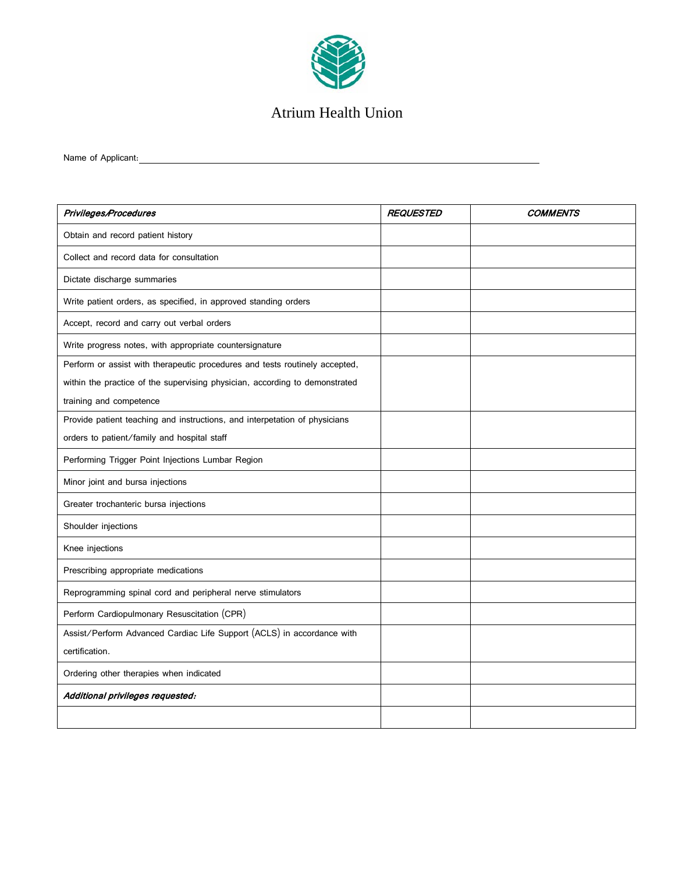

## Atrium Health Union

Name of Applicant:

| Privileges/Procedures                                                       | <b>REQUESTED</b> | <b>COMMENTS</b> |
|-----------------------------------------------------------------------------|------------------|-----------------|
| Obtain and record patient history                                           |                  |                 |
| Collect and record data for consultation                                    |                  |                 |
| Dictate discharge summaries                                                 |                  |                 |
| Write patient orders, as specified, in approved standing orders             |                  |                 |
| Accept, record and carry out verbal orders                                  |                  |                 |
| Write progress notes, with appropriate countersignature                     |                  |                 |
| Perform or assist with therapeutic procedures and tests routinely accepted, |                  |                 |
| within the practice of the supervising physician, according to demonstrated |                  |                 |
| training and competence                                                     |                  |                 |
| Provide patient teaching and instructions, and interpetation of physicians  |                  |                 |
| orders to patient/family and hospital staff                                 |                  |                 |
| Performing Trigger Point Injections Lumbar Region                           |                  |                 |
| Minor joint and bursa injections                                            |                  |                 |
| Greater trochanteric bursa injections                                       |                  |                 |
| Shoulder injections                                                         |                  |                 |
| Knee injections                                                             |                  |                 |
| Prescribing appropriate medications                                         |                  |                 |
| Reprogramming spinal cord and peripheral nerve stimulators                  |                  |                 |
| Perform Cardiopulmonary Resuscitation (CPR)                                 |                  |                 |
| Assist/Perform Advanced Cardiac Life Support (ACLS) in accordance with      |                  |                 |
| certification.                                                              |                  |                 |
| Ordering other therapies when indicated                                     |                  |                 |
| Additional privileges requested:                                            |                  |                 |
|                                                                             |                  |                 |